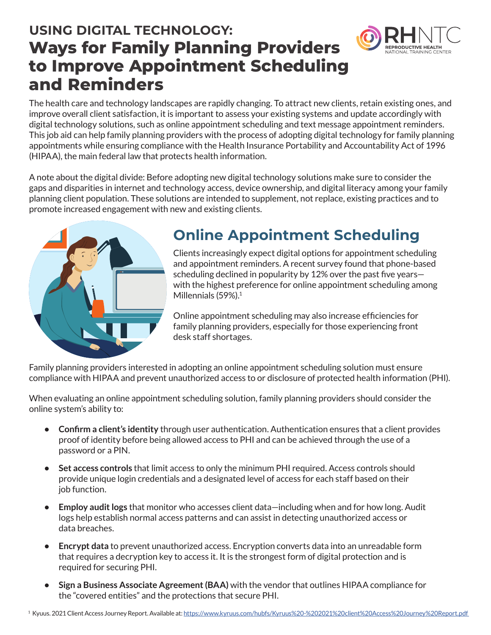## **USING DIGITAL TECHNOLOGY: Ways for Family Planning Providers to Improve Appointment Scheduling and Reminders**



The health care and technology landscapes are rapidly changing. To attract new clients, retain existing ones, and improve overall client satisfaction, it is important to assess your existing systems and update accordingly with digital technology solutions, such as online appointment scheduling and text message appointment reminders. This job aid can help family planning providers with the process of adopting digital technology for family planning appointments while ensuring compliance with the Health Insurance Portability and Accountability Act of 1996 (HIPAA), the main federal law that protects health information.

A note about the digital divide: Before adopting new digital technology solutions make sure to consider the gaps and disparities in internet and technology access, device ownership, and digital literacy among your family planning client population. These solutions are intended to supplement, not replace, existing practices and to promote increased engagement with new and existing clients.



## **Online Appointment Scheduling**

Clients increasingly expect digital options for appointment scheduling and appointment reminders. A recent survey found that phone-based scheduling declined in popularity by 12% over the past five years with the highest preference for online appointment scheduling among Millennials (59%).<sup>1</sup>

Online appointment scheduling may also increase efficiencies for family planning providers, especially for those experiencing front desk staff shortages.

Family planning providers interested in adopting an online appointment scheduling solution must ensure compliance with HIPAA and prevent unauthorized access to or disclosure of protected health information (PHI).

When evaluating an online appointment scheduling solution, family planning providers should consider the online system's ability to:

- **• Confirm a client's identity** through user authentication. Authentication ensures that a client provides proof of identity before being allowed access to PHI and can be achieved through the use of a password or a PIN.
- **• Set access controls** that limit access to only the minimum PHI required. Access controls should provide unique login credentials and a designated level of access for each staff based on their job function.
- **• Employ audit logs** that monitor who accesses client data—including when and for how long. Audit logs help establish normal access patterns and can assist in detecting unauthorized access or data breaches.
- **• Encrypt data** to prevent unauthorized access. Encryption converts data into an unreadable form that requires a decryption key to access it. It is the strongest form of digital protection and is required for securing PHI.
- **• Sign a Business Associate Agreement (BAA)** with the vendor that outlines HIPAA compliance for the "covered entities" and the protections that secure PHI.

1 Kyuus. 2021 Client Access Journey Report. Available at: [https://www.kyruus.com/hubfs/Kyruus%20-%202021%20client%20Access%20Journey%20Report.pdf](https://www.kyruus.com/hubfs/Kyruus%20-%202021%20client%20Access%20Journey%20Report.pdf )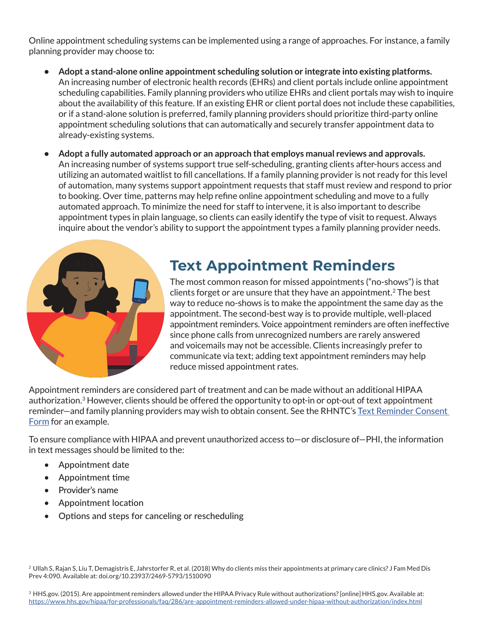Online appointment scheduling systems can be implemented using a range of approaches. For instance, a family planning provider may choose to:

- **• Adopt a stand-alone online appointment scheduling solution or integrate into existing platforms.** An increasing number of electronic health records (EHRs) and client portals include online appointment scheduling capabilities. Family planning providers who utilize EHRs and client portals may wish to inquire about the availability of this feature. If an existing EHR or client portal does not include these capabilities, or if a stand-alone solution is preferred, family planning providers should prioritize third-party online appointment scheduling solutions that can automatically and securely transfer appointment data to already-existing systems.
- **• Adopt a fully automated approach or an approach that employs manual reviews and approvals.**  An increasing number of systems support true self-scheduling, granting clients after-hours access and utilizing an automated waitlist to fill cancellations. If a family planning provider is not ready for this level of automation, many systems support appointment requests that staff must review and respond to prior to booking. Over time, patterns may help refine online appointment scheduling and move to a fully automated approach. To minimize the need for staff to intervene, it is also important to describe appointment types in plain language, so clients can easily identify the type of visit to request. Always inquire about the vendor's ability to support the appointment types a family planning provider needs.



## **Text Appointment Reminders**

The most common reason for missed appointments ("no-shows") is that clients forget or are unsure that they have an appointment.<sup>2</sup> The best way to reduce no-shows is to make the appointment the same day as the appointment. The second-best way is to provide multiple, well-placed appointment reminders. Voice appointment reminders are often ineffective since phone calls from unrecognized numbers are rarely answered and voicemails may not be accessible. Clients increasingly prefer to communicate via text; adding text appointment reminders may help reduce missed appointment rates.

Appointment reminders are considered part of treatment and can be made without an additional HIPAA authorization.<sup>3</sup> However, clients should be offered the opportunity to opt-in or opt-out of text appointment reminder—and family planning providers may wish to obtain consent. See the RHNTC's Text Reminder Consent [Form](https://rhntc.org/resources/text-reminder-consent-form) for an example.

To ensure compliance with HIPAA and prevent unauthorized access to—or disclosure of—PHI, the information in text messages should be limited to the:

- Appointment date
- Appointment time
- Provider's name
- Appointment location
- Options and steps for canceling or rescheduling

Prev 4:090. Available at: doi.org/10.23937/2469-5793/1510090 <sup>2</sup> Ullah S, Rajan S, Liu T, Demagistris E, Jahrstorfer R, et al. (2018) Why do clients miss their appointments at primary care clinics? J Fam Med Dis